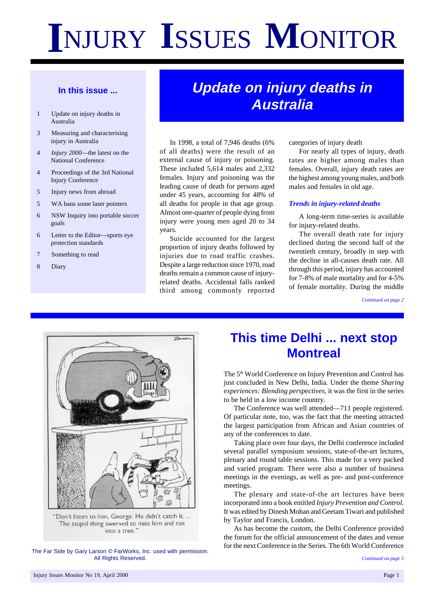# **I**NJURY **I**SSUES **M**ONITOR

#### **In this issue ...**

- 1 Update on injury deaths in Australia
- 3 Measuring and characterising injury in Australia
- 4 *Injury 2000*—the latest on the National Conference
- 4 Proceedings of the 3rd National Injury Conference
- 5 Injury news from abroad
- 5 WA bans some laser pointers
- 6 NSW Inquiry into portable soccer goals
- 6 Letter to the Editor—sports eye protection standards
- 7 Something to read
- 8 Diary

### **Update on injury deaths in Australia**

In 1998, a total of 7,946 deaths (6% of all deaths) were the result of an external cause of injury or poisoning. These included 5,614 males and 2,332 females. Injury and poisoning was the leading cause of death for persons aged under 45 years, accounting for 48% of all deaths for people in that age group. Almost one-quarter of people dying from injury were young men aged 20 to 34 years.

Suicide accounted for the largest proportion of injury deaths followed by injuries due to road traffic crashes. Despite a large reduction since 1970, road deaths remain a common cause of injuryrelated deaths. Accidental falls ranked third among commonly reported categories of injury death

For nearly all types of injury, death rates are higher among males than females. Overall, injury death rates are the highest among young males, and both males and females in old age.

#### *Trends in injury-related deaths*

A long-term time-series is available for injury-related deaths.

The overall death rate for injury declined during the second half of the twentieth century, broadly in step with the decline in all-causes death rate. All through this period, injury has accounted for 7-8% of male mortality and for 4-5% of female mortality. During the middle

> *Continued on page 2 .*



"Don't listen to him, George. He didn't catch it. ... The stupid thing swerved to miss him and ran into a tree.'

The Far Side by Gary Larson © FarWorks, Inc. used with permission. All Rights Reserved.

### **This time Delhi ... next stop Montreal**

The 5<sup>th</sup> World Conference on Injury Prevention and Control has just concluded in New Delhi, India. Under the theme *Sharing experiences: Blending perspectives*, it was the first in the series to be held in a low income country.

The Conference was well attended—711 people registered. Of particular note, too, was the fact that the meeting attracted the largest participation from African and Asian countries of any of the conferences to date.

Taking place over four days, the Delhi conference included several parallel symposium sessions, state-of-the-art lectures, plenary and round table sessions. This made for a very packed and varied program. There were also a number of business meetings in the evenings, as well as pre- and post-conference meetings.

The plenary and state-of-the art lectures have been incorporated into a book entitled *Injury Prevention and Control.* It was edited by Dinesh Mohan and Geetam Tiwari and published by Taylor and Francis, London.

As has become the custom, the Delhi Conference provided the forum for the official announcement of the dates and venue for the next Conference in the Series. The 6th World Conference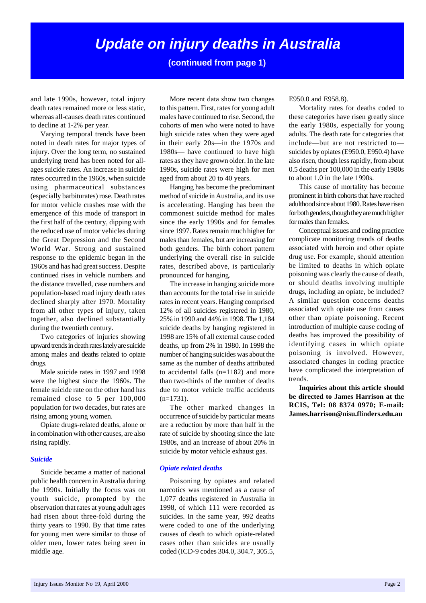### **Update on injury deaths in Australia**

#### **(continued from page 1)**

and late 1990s, however, total injury death rates remained more or less static, whereas all-causes death rates continued to decline at 1-2% per year.

Varying temporal trends have been noted in death rates for major types of injury. Over the long term, no sustained underlying trend has been noted for allages suicide rates. An increase in suicide rates occurred in the 1960s, when suicide using pharmaceutical substances (especially barbiturates) rose. Death rates for motor vehicle crashes rose with the emergence of this mode of transport in the first half of the century, dipping with the reduced use of motor vehicles during the Great Depression and the Second World War. Strong and sustained response to the epidemic began in the 1960s and has had great success. Despite continued rises in vehicle numbers and the distance travelled, case numbers and population-based road injury death rates declined sharply after 1970. Mortality from all other types of injury, taken together, also declined substantially during the twentieth century.

Two categories of injuries showing upward trends in death rates lately are suicide among males and deaths related to opiate drugs.

Male suicide rates in 1997 and 1998 were the highest since the 1960s. The female suicide rate on the other hand has remained close to 5 per 100,000 population for two decades, but rates are rising among young women.

Opiate drugs-related deaths, alone or in combination with other causes, are also rising rapidly.

#### *Suicide*

Suicide became a matter of national public health concern in Australia during the 1990s. Initially the focus was on youth suicide, prompted by the observation that rates at young adult ages had risen about three-fold during the thirty years to 1990. By that time rates for young men were similar to those of older men, lower rates being seen in middle age.

More recent data show two changes to this pattern. First, rates for young adult males have continued to rise. Second, the cohorts of men who were noted to have high suicide rates when they were aged in their early 20s—in the 1970s and 1980s— have continued to have high rates as they have grown older. In the late 1990s, suicide rates were high for men aged from about 20 to 40 years.

Hanging has become the predominant method of suicide in Australia, and its use is accelerating. Hanging has been the commonest suicide method for males since the early 1990s and for females since 1997. Rates remain much higher for males than females, but are increasing for both genders. The birth cohort pattern underlying the overall rise in suicide rates, described above, is particularly pronounced for hanging.

The increase in hanging suicide more than accounts for the total rise in suicide rates in recent years. Hanging comprised 12% of all suicides registered in 1980, 25% in 1990 and 44% in 1998. The 1,184 suicide deaths by hanging registered in 1998 are 15% of all external cause coded deaths, up from 2% in 1980. In 1998 the number of hanging suicides was about the same as the number of deaths attributed to accidental falls (n=1182) and more than two-thirds of the number of deaths due to motor vehicle traffic accidents  $(n=1731)$ .

The other marked changes in occurrence of suicide by particular means are a reduction by more than half in the rate of suicide by shooting since the late 1980s, and an increase of about 20% in suicide by motor vehicle exhaust gas.

#### *Opiate related deaths*

Poisoning by opiates and related narcotics was mentioned as a cause of 1,077 deaths registered in Australia in 1998, of which 111 were recorded as suicides. In the same year, 992 deaths were coded to one of the underlying causes of death to which opiate-related cases other than suicides are usually coded (ICD-9 codes 304.0, 304.7, 305.5,

E950.0 and E958.8).

Mortality rates for deaths coded to these categories have risen greatly since the early 1980s, especially for young adults. The death rate for categories that include—but are not restricted to suicides by opiates (E950.0, E950.4) have also risen, though less rapidly, from about 0.5 deaths per 100,000 in the early 1980s to about 1.0 in the late 1990s.

This cause of mortality has become prominent in birth cohorts that have reached adulthood since about 1980. Rates have risen for both genders, though they are much higher for males than females.

Conceptual issues and coding practice complicate monitoring trends of deaths associated with heroin and other opiate drug use. For example, should attention be limited to deaths in which opiate poisoning was clearly the cause of death, or should deaths involving multiple drugs, including an opiate, be included? A similar question concerns deaths associated with opiate use from causes other than opiate poisoning. Recent introduction of multiple cause coding of deaths has improved the possibility of identifying cases in which opiate poisoning is involved. However, associated changes in coding practice have complicated the interpretation of trends.

**Inquiries about this article should be directed to James Harrison at the RCIS, Tel: 08 8374 0970; E-mail: James.harrison@nisu.flinders.edu.au**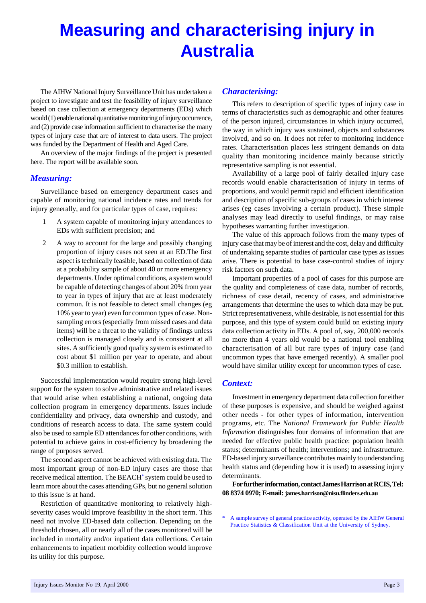## **Measuring and characterising injury in Australia**

The AIHW National Injury Surveillance Unit has undertaken a project to investigate and test the feasibility of injury surveillance based on case collection at emergency departments (EDs) which would (1) enable national quantitative monitoring of injury occurrence, and (2) provide case information sufficient to characterise the many types of injury case that are of interest to data users. The project was funded by the Department of Health and Aged Care.

An overview of the major findings of the project is presented here. The report will be available soon.

#### *Measuring:*

Surveillance based on emergency department cases and capable of monitoring national incidence rates and trends for injury generally, and for particular types of case, requires:

- 1 A system capable of monitoring injury attendances to EDs with sufficient precision; and
- 2 A way to account for the large and possibly changing proportion of injury cases not seen at an ED.The first aspect is technically feasible, based on collection of data at a probability sample of about 40 or more emergency departments. Under optimal conditions, a system would be capable of detecting changes of about 20% from year to year in types of injury that are at least moderately common. It is not feasible to detect small changes (eg 10% year to year) even for common types of case. Nonsampling errors (especially from missed cases and data items) will be a threat to the validity of findings unless collection is managed closely and is consistent at all sites. A sufficiently good quality system is estimated to cost about \$1 million per year to operate, and about \$0.3 million to establish.

Successful implementation would require strong high-level support for the system to solve administrative and related issues that would arise when establishing a national, ongoing data collection program in emergency departments. Issues include confidentiality and privacy, data ownership and custody, and conditions of research access to data. The same system could also be used to sample ED attendances for other conditions, with potential to achieve gains in cost-efficiency by broadening the range of purposes served.

The second aspect cannot be achieved with existing data. The most important group of non-ED injury cases are those that receive medical attention. The BEACH**\*** system could be used to learn more about the cases attending GPs, but no general solution to this issue is at hand.

Restriction of quantitative monitoring to relatively highseverity cases would improve feasibility in the short term. This need not involve ED-based data collection. Depending on the threshold chosen, all or nearly all of the cases monitored will be included in mortality and/or inpatient data collections. Certain enhancements to inpatient morbidity collection would improve its utility for this purpose.

#### *Characterising:*

This refers to description of specific types of injury case in terms of characteristics such as demographic and other features of the person injured, circumstances in which injury occurred, the way in which injury was sustained, objects and substances involved, and so on. It does not refer to monitoring incidence rates. Characterisation places less stringent demands on data quality than monitoring incidence mainly because strictly representative sampling is not essential.

Availability of a large pool of fairly detailed injury case records would enable characterisation of injury in terms of proportions, and would permit rapid and efficient identification and description of specific sub-groups of cases in which interest arises (eg cases involving a certain product). These simple analyses may lead directly to useful findings, or may raise hypotheses warranting further investigation.

The value of this approach follows from the many types of injury case that may be of interest and the cost, delay and difficulty of undertaking separate studies of particular case types as issues arise. There is potential to base case-control studies of injury risk factors on such data.

Important properties of a pool of cases for this purpose are the quality and completeness of case data, number of records, richness of case detail, recency of cases, and administrative arrangements that determine the uses to which data may be put. Strict representativeness, while desirable, is not essential for this purpose, and this type of system could build on existing injury data collection activity in EDs. A pool of, say, 200,000 records no more than 4 years old would be a national tool enabling characterisation of all but rare types of injury case (and uncommon types that have emerged recently). A smaller pool would have similar utility except for uncommon types of case.

#### *Context:*

Investment in emergency department data collection for either of these purposes is expensive, and should be weighed against other needs - for other types of information, intervention programs, etc. The *National Framework for Public Health Information* distinguishes four domains of information that are needed for effective public health practice: population health status; determinants of health; interventions; and infrastructure. ED-based injury surveillance contributes mainly to understanding health status and (depending how it is used) to assessing injury determinants.

**For further information, contact James Harrison at RCIS, Tel: 08 8374 0970; E-mail: james.harrison@nisu.flinders.edu.au**

A sample survey of general practice activity, operated by the AIHW General Practice Statistics & Classification Unit at the University of Sydney.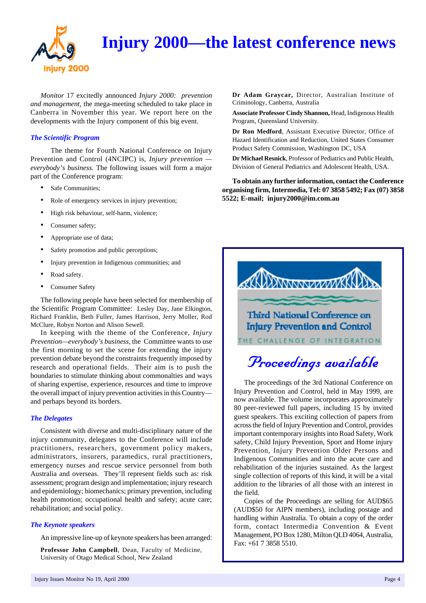

### **Injury 2000—the latest conference news**

*Monitor* 17 excitedly announced *Injury 2000: prevention and management*, the mega-meeting scheduled to take place in Canberra in November this year. We report here on the developments with the Injury component of this big event.

#### *The Scientific Program*

The theme for Fourth National Conference on Injury Prevention and Control (4NCIPC) is, *Injury prevention everybody's business.* The following issues will form a major part of the Conference program:

- Safe Communities;
- Role of emergency services in injury prevention;
- High risk behaviour, self-harm, violence;
- Consumer safety;
- Appropriate use of data;
- Safety promotion and public perceptions;
- Injury prevention in Indigenous communities; and
- Road safety.
- Consumer Safety

The following people have been selected for membership of the Scientific Program Committee: Lesley Day, Jane Elkington, Richard Franklin, Beth Fuller, James Harrison, Jerry Moller, Rod McClure, Robyn Norton and Alison Sewell.

In keeping with the theme of the Conference, *Injury Prevention—everybody's business,* the Committee wants to use the first morning to set the scene for extending the injury prevention debate beyond the constraints frequently imposed by research and operational fields. Their aim is to push the boundaries to stimulate thinking about commonalties and ways of sharing expertise, experience, resources and time to improve the overall impact of injury prevention activities in this Country and perhaps beyond its borders.

#### *The Delegates*

Consistent with diverse and multi-disciplinary nature of the injury community, delegates to the Conference will include practitioners, researchers, government policy makers, administrators, insurers, paramedics, rural practitioners, emergency nurses and rescue service personnel from both Australia and overseas. They'll represent fields such as: risk assessment; program design and implementation; injury research and epidemiology; biomechanics; primary prevention, including health promotion; occupational health and safety; acute care; rehabilitation; and social policy.

#### *The Keynote speakers*

An impressive line-up of keynote speakers has been arranged:

**Professor John Campbell**, Dean, Faculty of Medicine, University of Otago Medical School, New Zealand

**Dr Adam Graycar,** Director, Australian Institute of Criminology, Canberra, Australia

**Associate Professor Cindy Shannon,** Head, Indigenous Health Program, Queensland University.

**Dr Ron Medford**, Assistant Executive Director, Office of Hazard Identification and Reduction, United States Consumer Product Safety Commission, Washington DC, USA

**Dr Michael Resnick**, Professor of Pediatrics and Public Health, Division of General Pediatrics and Adolescent Health, USA.

**To obtain any further information, contact the Conference organising firm, Intermedia, Tel: 07 3858 5492; Fax (07) 3858 5522; E-mail; injury2000@im.com.au**



The proceedings of the 3rd National Conference on Injury Prevention and Control, held in May 1999, are now available. The volume incorporates approximately 80 peer-reviewed full papers, including 15 by invited guest speakers. This exciting collection of papers from across the field of Injury Prevention and Control, provides important contemporary insights into Road Safety, Work safety, Child Injury Prevention, Sport and Home injury Prevention, Injury Prevention Older Persons and Indigenous Communities and into the acute care and rehabilitation of the injuries sustained. As the largest single collection of reports of this kind, it will be a vital addition to the libraries of all those with an interest in the field.

Copies of the Proceedings are selling for AUD\$65 (AUD\$50 for AIPN members), including postage and handling within Australia. To obtain a copy of the order form, contact Intermedia Convention & Event Management, PO Box 1280, Milton QLD 4064, Australia, Fax: +61 7 3858 5510.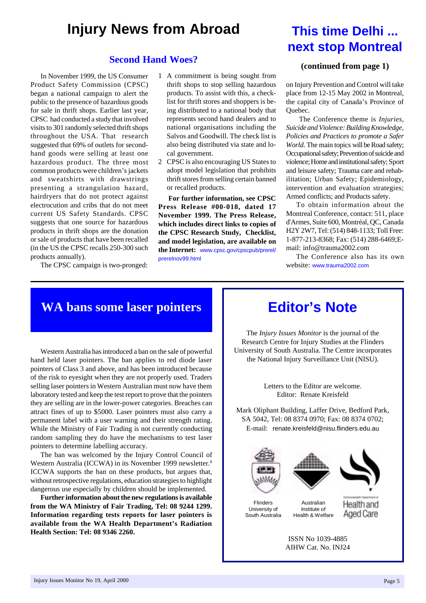### **Injury News from Abroad**

#### **Second Hand Woes?**

In November 1999, the US Consumer Product Safety Commission (CPSC) began a national campaign to alert the public to the presence of hazardous goods for sale in thrift shops. Earlier last year, CPSC had conducted a study that involved visits to 301 randomly selected thrift shops throughout the USA. That research suggested that 69% of outlets for secondhand goods were selling at least one hazardous product. The three most common products were children's jackets and sweatshirts with drawstrings presenting a strangulation hazard, hairdryers that do not protect against electrocution and cribs that do not meet current US Safety Standards. CPSC suggests that one source for hazardous products in thrift shops are the donation or sale of products that have been recalled (in the US the CPSC recalls 250-300 such products annually).

The CPSC campaign is two-pronged:

- 1 A commitment is being sought from thrift shops to stop selling hazardous products. To assist with this, a checklist for thrift stores and shoppers is being distributed to a national body that represents second hand dealers and to national organisations including the Salvos and Goodwill. The check list is also being distributed via state and local government.
- 2 CPSC is also encouraging US States to adopt model legislation that prohibits thrift stores from selling certain banned or recalled products.

**For further information, see CPSC Press Release #00-018, dated 17 November 1999. The Press Release, which includes direct links to copies of the CPSC Research Study, Checklist, and model legislation, are available on the Internet:** www.cpsc.gov/cpscpub/prerel/ prerelnov99.html

### **This time Delhi ... next stop Montreal**

#### **(continued from page 1)**

on Injury Prevention and Control will take place from 12-15 May 2002 in Montreal, the capital city of Canada's Province of Quebec.

 The Conference theme is *Injuries, Suicide and Violence: Building Knowledge, Policies and Practices to promote a Safer World*. The main topics will be Road safety; Occupational safety; Prevention of suicide and violence; Home and institutional safety; Sport and leisure safety; Trauma care and rehabilitation; Urban Safety; Epidemiology, intervention and evaluation strategies; Armed conflicts; and Products safety.

To obtain information about the Montreal Conference, contact: 511, place d'Armes, Suite 600, Montréal, QC, Canada H2Y 2W7, Tel: (514) 848-1133; Toll Free: 1-877-213-8368; Fax: (514) 288-6469;Email: info@trauma2002.com

The Conference also has its own website: www.trauma2002.com

### **WA bans some laser pointers**

Western Australia has introduced a ban on the sale of powerful hand held laser pointers. The ban applies to red diode laser pointers of Class 3 and above, and has been introduced because of the risk to eyesight when they are not properly used. Traders selling laser pointers in Western Australian must now have them laboratory tested and keep the test report to prove that the pointers they are selling are in the lower-power categories. Breaches can attract fines of up to \$5000. Laser pointers must also carry a permanent label with a user warning and their strength rating. While the Ministry of Fair Trading is not currently conducting random sampling they do have the mechanisms to test laser pointers to determine labelling accuracy.

The ban was welcomed by the Injury Control Council of Western Australia (ICCWA) in its November 1999 newsletter.**<sup>1</sup>** ICCWA supports the ban on these products, but argues that, without retrospective regulations, education strategies to highlight dangerous use especially by children should be implemented.

**Further information about the new regulations is available from the WA Ministry of Fair Trading, Tel: 08 9244 1299. Information regarding tests reports for laser pointers is available from the WA Health Department's Radiation Health Section: Tel: 08 9346 2260.**

### **Editor's Note**

The *Injury Issues Monitor* is the journal of the Research Centre for Injury Studies at the Flinders University of South Australia. The Centre incorporates the National Injury Surveillance Unit (NISU).

> Letters to the Editor are welcome. Editor: Renate Kreisfeld

Mark Oliphant Building, Laffer Drive, Bedford Park, SA 5042, Tel: 08 8374 0970; Fax: 08 8374 0702; E-mail: renate.kreisfeld@nisu.flinders.edu.au







Australian Institute of Health & Welfare



ISSN No 1039-4885 AIHW Cat. No. INJ24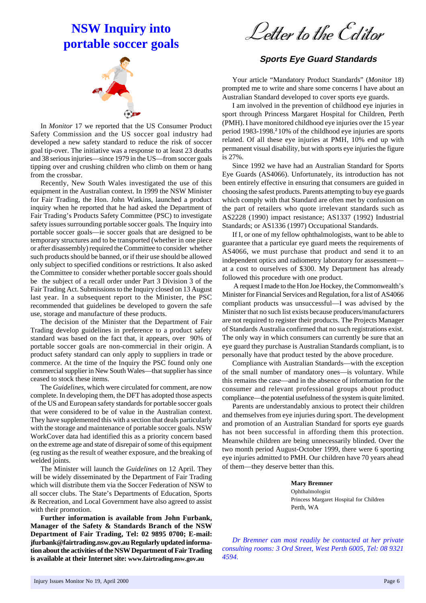### **NSW Inquiry into portable soccer goals**

Letter to the Editor

In *Monitor* 17 we reported that the US Consumer Product Safety Commission and the US soccer goal industry had developed a new safety standard to reduce the risk of soccer goal tip-over. The initiative was a response to at least 23 deaths and 38 serious injuries—since 1979 in the US—from soccer goals tipping over and crushing children who climb on them or hang from the crossbar.

Recently, New South Wales investigated the use of this equipment in the Australian context. In 1999 the NSW Minister for Fair Trading, the Hon. John Watkins, launched a product inquiry when he reported that he had asked the Department of Fair Trading's Products Safety Committee (PSC) to investigate safety issues surrounding portable soccer goals. The Inquiry into portable soccer goals—ie soccer goals that are designed to be temporary structures and to be transported (whether in one piece or after disassembly) required the Committee to consider whether such products should be banned, or if their use should be allowed only subject to specified conditions or restrictions. It also asked the Committee to consider whether portable soccer goals should be the subject of a recall order under Part 3 Division 3 of the Fair Trading Act. Submissions to the Inquiry closed on 13 August last year. In a subsequent report to the Minister, the PSC recommended that guidelines be developed to govern the safe use, storage and manufacture of these products.

The decision of the Minister that the Department of Fair Trading develop guidelines in preference to a product safety standard was based on the fact that, it appears, over 90% of portable soccer goals are non-commercial in their origin. A product safety standard can only apply to suppliers in trade or commerce. At the time of the Inquiry the PSC found only one commercial supplier in New South Wales—that supplier has since ceased to stock these items.

The *Guidelines*, which were circulated for comment, are now complete. In developing them, the DFT has adopted those aspects of the US and European safety standards for portable soccer goals that were considered to be of value in the Australian context. They have supplemented this with a section that deals particularly with the storage and maintenance of portable soccer goals. NSW WorkCover data had identified this as a priority concern based on the extreme age and state of disrepair of some of this equipment (eg rusting as the result of weather exposure, and the breaking of welded joints.

The Minister will launch the *Guidelines* on 12 April. They will be widely disseminated by the Department of Fair Trading which will distribute them via the Soccer Federation of NSW to all soccer clubs. The State's Departments of Education, Sports & Recreation, and Local Government have also agreed to assist with their promotion.

**Further information is available from John Furbank, Manager of the Safety & Standards Branch of the NSW Department of Fair Trading, Tel: 02 9895 0700; E-mail: jfurbank@fairtrading.nsw.gov.au Regularly updated information about the activities of the NSW Department of Fair Trading is available at their Internet site: www.fairtrading.nsw.gov.au**

#### **Sports Eye Guard Standards**

Your article "Mandatory Product Standards" (*Monitor* 18) prompted me to write and share some concerns I have about an Australian Standard developed to cover sports eye guards.

I am involved in the prevention of childhood eye injuries in sport through Princess Margaret Hospital for Children, Perth (PMH). I have monitored childhood eye injuries over the 15 year period 1983-1998.**<sup>2</sup>**10% of the childhood eye injuries are sports related. Of all these eye injuries at PMH, 10% end up with permanent visual disability, but with sports eye injuries the figure is 27%.

Since 1992 we have had an Australian Standard for Sports Eye Guards (AS4066). Unfortunately, its introduction has not been entirely effective in ensuring that consumers are guided in choosing the safest products. Parents attempting to buy eye guards which comply with that Standard are often met by confusion on the part of retailers who quote irrelevant standards such as AS2228 (1990) impact resistance; AS1337 (1992) Industrial Standards; or AS1336 (1997) Occupational Standards.

If I, or one of my fellow ophthalmologists, want to be able to guarantee that a particular eye guard meets the requirements of AS4066, we must purchase that product and send it to an independent optics and radiometry laboratory for assessment at a cost to ourselves of \$300. My Department has already followed this procedure with one product.

 A request I made to the Hon Joe Hockey, the Commonwealth's Minister for Financial Services and Regulation, for a list of AS4066 compliant products was unsuccessful—I was advised by the Minister that no such list exists because producers/manufacturers are not required to register their products. The Projects Manager of Standards Australia confirmed that no such registrations exist. The only way in which consumers can currently be sure that an eye guard they purchase is Australian Standards compliant, is to personally have that product tested by the above procedure.

Compliance with Australian Standards—with the exception of the small number of mandatory ones—is voluntary. While this remains the case—and in the absence of information for the consumer and relevant professional groups about product compliance—the potential usefulness of the system is quite limited.

Parents are understandably anxious to protect their children and themselves from eye injuries during sport. The development and promotion of an Australian Standard for sports eye guards has not been successful in affording them this protection. Meanwhile children are being unnecessarily blinded. Over the two month period August-October 1999, there were 6 sporting eye injuries admitted to PMH. Our children have 70 years ahead of them—they deserve better than this.

#### **Mary Bremner**

Ophthalmologist Princess Margaret Hospital for Children Perth, WA

*Dr Bremner can most readily be contacted at her private consulting rooms: 3 Ord Street, West Perth 6005, Tel: 08 9321 4594.*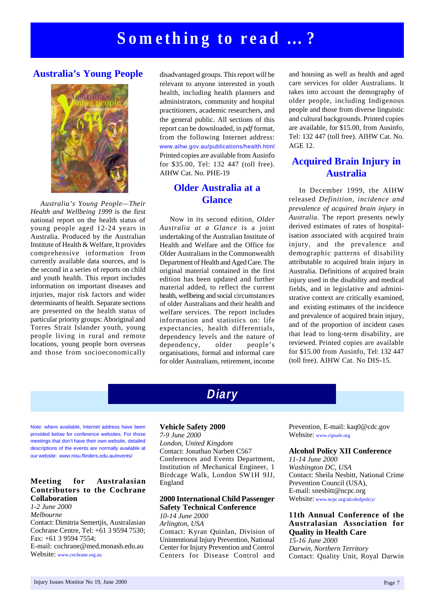#### **Australia's Young People**



*Australia's Young People—Their Health and Wellbeing 1999* is the first national report on the health status of young people aged 12-24 years in Australia. Produced by the Australian Institute of Health & Welfare, It provides comprehensive information from currently available data sources, and is the second in a series of reports on child and youth health. This report includes information on important diseases and injuries, major risk factors and wider determinants of health. Separate sections are presented on the health status of particular priority groups: Aboriginal and Torres Strait Islander youth, young people living in rural and remote locations, young people born overseas and those from socioeconomically

disadvantaged groups. This report will be relevant to anyone interested in youth health, including health planners and administrators, community and hospital practitioners, academic researchers, and the general public. All sections of this report can be downloaded, in *pdf* format, from the following Internet address: www.aihw.gov.au/publications/health.html Printed copies are available from Ausinfo for \$35.00, Tel: 132 447 (toll free). AIHW Cat. No. PHE-19

#### **Older Australia at a Glance**

Now in its second edition, *Older Australia at a Glance* is a joint undertaking of the Australian Institute of Health and Welfare and the Office for Older Australians in the Commonwealth Department of Health and Aged Care. The original material contained in the first edition has been updated and further material added, to reflect the current health, wellbeing and social circumstances of older Australians and their health and welfare services. The report includes information and statistics on: life expectancies, health differentials, dependency levels and the nature of dependency, older people's organisations, formal and informal care for older Australians, retirement, income and housing as well as health and aged care services for older Australians. It takes into account the demography of older people, including Indigenous people and those from diverse linguistic and cultural backgrounds. Printed copies are available, for \$15.00, from Ausinfo, Tel: 132 447 (toll free). AIHW Cat. No. AGE 12.

#### **Acquired Brain Injury in Australia**

In December 1999, the AIHW released *Definition, incidence and prevalence of acquired brain injury in Australia*. The report presents newly derived estimates of rates of hospitalisation associated with acquired brain injury, and the prevalence and demographic patterns of disability attributable to acquired brain injury in Australia. Definitions of acquired brain injury used in the disability and medical fields, and in legislative and administrative context are critically examined, and existing estimates of the incidence and prevalence of acquired brain injury, and of the proportion of incident cases that lead to long-term disability, are reviewed. Printed copies are available for \$15.00 from Ausinfo, Tel: 132 447 (toll free). AIHW Cat. No DIS-15.

Note: where available, Internet address have been provided below for conference websites. For those meetings that don't have their own website, detailed descriptions of the events are normally available at our website: www.nisu.flinders.edu.au/events/

#### **Meeting for Australasian Contributors to the Cochrane Collaboration**

*1-2 June 2000 Melbourne* Contact: Dimitria Semertjis, Australasian Cochrane Centre, Tel: +61 3 9594 7530; Fax: +61 3 9594 7554; E-mail: cochrane@med.monash.edu.au Website: www.cochrane.org.au

#### **Vehicle Safety 2000**

*7-9 June 2000 London, United Kingdom* Contact: Jonathan Narbett C567 Conferences and Events Department, Institution of Mechanical Engineer, 1 Birdcage Walk, London SW1H 9JJ, England

**Diary**

#### **2000 International Child Passenger Safety Technical Conference**

*10-14 June 2000 Arlington, USA* Contact: Kyran Quinlan, Division of Unintentional Injury Prevention, National Center for Injury Prevention and Control Centers for Disease Control and Prevention, E-mail: kaq0@cdc.gov Website: www.cipsafe.org

#### **Alcohol Policy XII Conference**

*11-14 June 2000 Washington DC, USA* Contact: Sheila Nesbitt, National Crime Prevention Council (USA), E-mail: snesbitt@ncpc.org Website: www.ncpc.org/alcoholpolicy/

#### **11th Annual Conference of the Australasian Association for Quality in Health Care**

*15-16 June 2000 Darwin, Northern Territory* Contact: Quality Unit, Royal Darwin